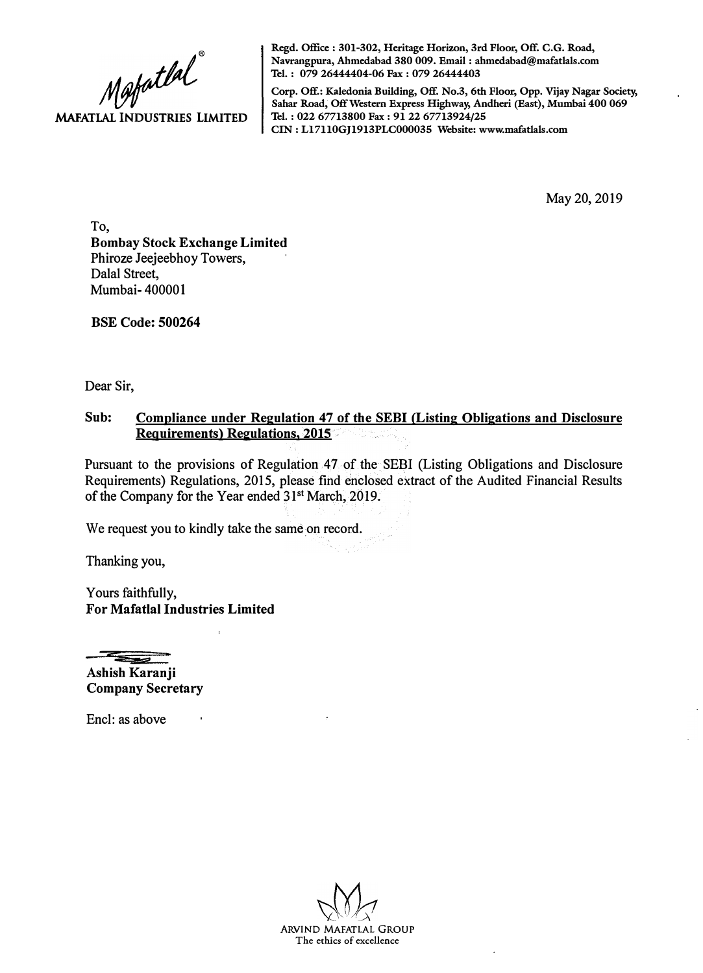

**Regd. Office : 301-302, Heritage Horizon, 3rd Floor, Off. C.G. Road, Navrangpura, Ahmedabad 380 009. Email : ahmedabad@mafatlals.com Tel. : 079 26444404-06 Fax : 079 26444403** 

**Corp. Off.: Kaledonia Building, Off. No.3, 6th Floor, Opp. Vijay Nagar Society, Sahar Road, Off Western Express Highway, Andheri (East), Mumbai 400 069 Tel. : 022 67713800 Fax : 91 22 67713924/25 CIN: Ll7110GJ1913PLC000035 Website: www.mafatlals.com** 

May 20, 2019

To, **Bombay Stock Exchange Limited**  Phiroze Jeejeebhoy Towers, Dalal Street, Mumbai- 400001

**BSE Code: 500264** 

Dear Sir,

## **Sub: Compliance under Regulation 47 of the SEBI (Listing Obligations and Disclosure Requirements) Regulations, 2015**

Pursuant to the provisions of Regulation 47 of the SEBI (Listing Obligations and Disclosure Requirements) Regulations, 2015, please find enclosed extract of the Audited Financial Results of the Company for the Year ended 31**st** March, 2019.

We request you to kindly take the same on record.

Thanking you,

Yours faithfully, **For Mafatlal Industries Limited** 

==

**Ashish Karanji Company Secretary** 

Encl: as above

ARVIND MAFATLAL GROUP **The ethics of excellence**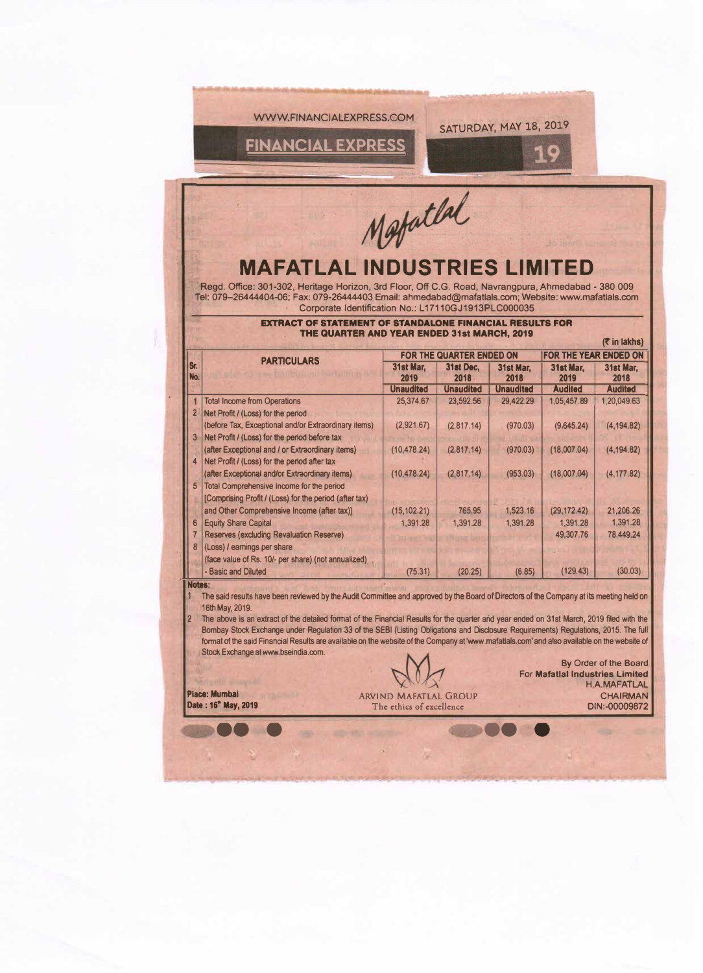